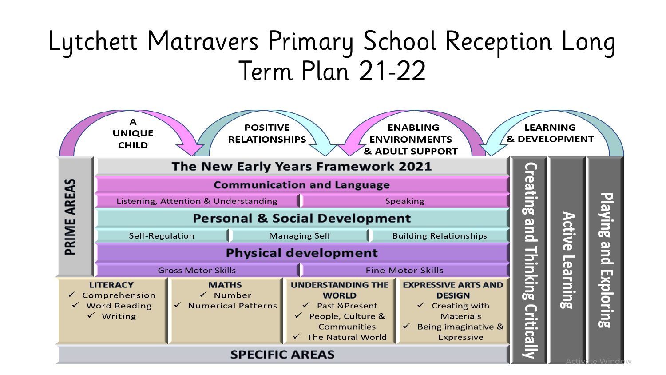# Lytchett Matravers Primary School Reception Long Term Plan 21-22

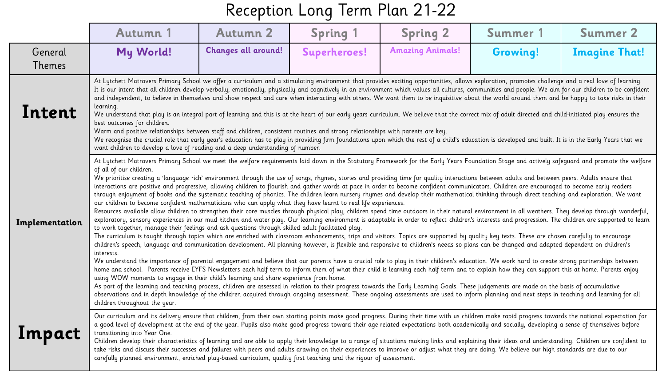|                          | <b>Autumn 1</b>                                                                                                                                                                                                                                                                                                                                                                                                                                                                                                                                                                                                                                                                                                                                                                                                                                                                                                                                                                                                                                                                                                                                                                                                                                                                                                                                                                                                                                                                                                                                                                                                                                                                                                                                                                                                                                                                                                                                                                                                                                                                                                                                                                                                                                                                                                                                                                                                                                                                                                                                                                                                                                                                                                                                                                                                       | <b>Autumn 2</b>            | <b>Spring 1</b> | <b>Spring 2</b>         | Summer 1 | <b>Summer 2</b>      |  |  |  |
|--------------------------|-----------------------------------------------------------------------------------------------------------------------------------------------------------------------------------------------------------------------------------------------------------------------------------------------------------------------------------------------------------------------------------------------------------------------------------------------------------------------------------------------------------------------------------------------------------------------------------------------------------------------------------------------------------------------------------------------------------------------------------------------------------------------------------------------------------------------------------------------------------------------------------------------------------------------------------------------------------------------------------------------------------------------------------------------------------------------------------------------------------------------------------------------------------------------------------------------------------------------------------------------------------------------------------------------------------------------------------------------------------------------------------------------------------------------------------------------------------------------------------------------------------------------------------------------------------------------------------------------------------------------------------------------------------------------------------------------------------------------------------------------------------------------------------------------------------------------------------------------------------------------------------------------------------------------------------------------------------------------------------------------------------------------------------------------------------------------------------------------------------------------------------------------------------------------------------------------------------------------------------------------------------------------------------------------------------------------------------------------------------------------------------------------------------------------------------------------------------------------------------------------------------------------------------------------------------------------------------------------------------------------------------------------------------------------------------------------------------------------------------------------------------------------------------------------------------------------|----------------------------|-----------------|-------------------------|----------|----------------------|--|--|--|
| General<br><b>Themes</b> | My World!                                                                                                                                                                                                                                                                                                                                                                                                                                                                                                                                                                                                                                                                                                                                                                                                                                                                                                                                                                                                                                                                                                                                                                                                                                                                                                                                                                                                                                                                                                                                                                                                                                                                                                                                                                                                                                                                                                                                                                                                                                                                                                                                                                                                                                                                                                                                                                                                                                                                                                                                                                                                                                                                                                                                                                                                             | <b>Changes all around!</b> | Superheroes!    | <b>Amazing Animals!</b> | Growing! | <b>Imagine That!</b> |  |  |  |
| Intent                   | At Lytchett Matravers Primary School we offer a curriculum and a stimulating environment that provides exciting opportunities, allows exploration, promotes challenge and a real love of learning.<br>It is our intent that all children develop verbally, emotionally, physically and cognitively in an environment which values all cultures, communities and people. We aim for our children to be confident<br>and independent, to believe in themselves and show respect and care when interacting with others. We want them to be inquisitive about the world around them and be happy to take risks in their<br>learning.<br>We understand that play is an integral part of learning and this is at the heart of our early years curriculum. We believe that the correct mix of adult directed and child-initiated play ensures the<br>best outcomes for children.<br>Warm and positive relationships between staff and children, consistent routines and strong relationships with parents are key.<br>We recognise the crucial role that early year's education has to play in providing firm foundations upon which the rest of a child's education is developed and built. It is in the Early Years that we<br>want children to develop a love of reading and a deep understanding of number.                                                                                                                                                                                                                                                                                                                                                                                                                                                                                                                                                                                                                                                                                                                                                                                                                                                                                                                                                                                                                                                                                                                                                                                                                                                                                                                                                                                                                                                                                                              |                            |                 |                         |          |                      |  |  |  |
| Implementation           | At Lytchett Matravers Primary School we meet the welfare requirements laid down in the Statutory Framework for the Early Years Foundation Stage and actively safequard and promote the welfare<br>of all of our children.<br>We prioritise creating a 'language rich' environment through the use of songs, rhymes, stories and providing time for quality interactions between adults and between peers. Adults ensure that<br>interactions are positive and progressive, allowing children to flourish and gather words at pace in order to become confident communicators. Children are encouraged to become early readers<br>through enjoyment of books and the systematic teaching of phonics. The children learn nursery rhymes and develop their mathematical thinking through direct teaching and exploration. We want<br>our children to become confident mathematicians who can apply what they have learnt to real life experiences.<br>Resources available allow children to strengthen their core muscles through physical play, children spend time outdoors in their natural environment in all weathers. They develop through wonderful,<br>exploratory, sensory experiences in our mud kitchen and water play. Our learning environment is adaptable in order to reflect children's interests and progression. The children are supported to learn<br>to work together, manage their feelings and ask questions through skilled adult facilitated play.<br>The curriculum is taught through topics which are enriched with classroom enhancements, trips and visitors. Topics are supported by quality key texts. These are chosen carefully to encourage<br>children's speech, language and communication development. All planning however, is flexible and responsive to children's needs so plans can be changed and adapted dependent on children's<br>interests.<br>We understand the importance of parental engagement and believe that our parents have a crucial role to play in their children's education. We work hard to create strong partnerships between<br>home and school. Parents receive EYFS Newsletters each half term to inform them of what their child is learning each half term and to explain how they can support this at home. Parents enjoy<br>using WOW moments to engage in their child's learning and share experience from home.<br>As part of the learning and teaching process, children are assessed in relation to their progress towards the Early Learning Goals. These judgements are made on the basis of accumulative<br>observations and in depth knowledge of the children acquired through ongoing assessment. These ongoing assessments are used to inform planning and next steps in teaching and learning for all<br>children throughout the year. |                            |                 |                         |          |                      |  |  |  |
| <b>Impact</b>            | Our curriculum and its delivery ensure that children, from their own starting points make good progress. During their time with us children make rapid progress towards the national expectation for<br>a good level of development at the end of the year. Pupils also make good progress toward their age-related expectations both academically and socially, developing a sense of themselves before<br>transitioning into Year One.<br>Children develop their characteristics of learning and are able to apply their knowledge to a range of situations making links and explaining their ideas and understanding. Children are confident to<br>take risks and discuss their successes and failures with peers and adults drawing on their experiences to improve or adjust what they are doing. We believe our high standards are due to our<br>carefully planned environment, enriched play-based curriculum, quality first teaching and the rigour of assessment.                                                                                                                                                                                                                                                                                                                                                                                                                                                                                                                                                                                                                                                                                                                                                                                                                                                                                                                                                                                                                                                                                                                                                                                                                                                                                                                                                                                                                                                                                                                                                                                                                                                                                                                                                                                                                                            |                            |                 |                         |          |                      |  |  |  |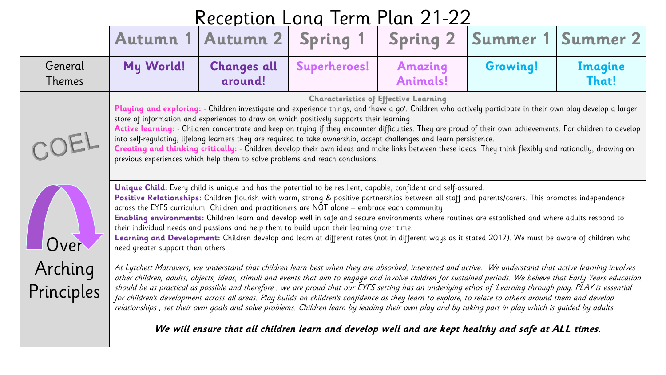|                       | R                                                                                                                                                                                                                                                                                                                                                                                                                                                                                                                                                                                                                                                                                                                                                                                                                                           |                                                                                                     |                 |                 |                 |          |  |  |  |
|-----------------------|---------------------------------------------------------------------------------------------------------------------------------------------------------------------------------------------------------------------------------------------------------------------------------------------------------------------------------------------------------------------------------------------------------------------------------------------------------------------------------------------------------------------------------------------------------------------------------------------------------------------------------------------------------------------------------------------------------------------------------------------------------------------------------------------------------------------------------------------|-----------------------------------------------------------------------------------------------------|-----------------|-----------------|-----------------|----------|--|--|--|
|                       | <b>Autumn 1</b>                                                                                                                                                                                                                                                                                                                                                                                                                                                                                                                                                                                                                                                                                                                                                                                                                             | <b>Autumn 2</b>                                                                                     | <b>Spring 1</b> | <b>Spring 2</b> | Summer 1        | Summer 2 |  |  |  |
| General               | My World!                                                                                                                                                                                                                                                                                                                                                                                                                                                                                                                                                                                                                                                                                                                                                                                                                                   | <b>Changes all</b>                                                                                  | Superheroes!    | <b>Amazing</b>  | <b>Growing!</b> | Imagine  |  |  |  |
| Themes                |                                                                                                                                                                                                                                                                                                                                                                                                                                                                                                                                                                                                                                                                                                                                                                                                                                             | around!                                                                                             |                 | <b>Animals!</b> |                 | That!    |  |  |  |
|                       | <b>Characteristics of Effective Learning</b><br>Playing and exploring: - Children investigate and experience things, and 'have a go'. Children who actively participate in their own play develop a larger<br>store of information and experiences to draw on which positively supports their learning<br>Active learning: - Children concentrate and keep on trying if they encounter difficulties. They are proud of their own achievements. For children to develop<br>into self-regulating, lifelong learners they are required to take ownership, accept challenges and learn persistence.<br>Creating and thinking critically: - Children develop their own ideas and make links between these ideas. They think flexibly and rationally, drawing on<br>previous experiences which help them to solve problems and reach conclusions. |                                                                                                     |                 |                 |                 |          |  |  |  |
| Over                  | Unique Child: Every child is unique and has the potential to be resilient, capable, confident and self-assured.<br>Positive Relationships: Children flourish with warm, strong & positive partnerships between all staff and parents/carers. This promotes independence<br>across the EYFS curriculum. Children and practitioners are NOT alone - embrace each community.<br>Enabling environments: Children learn and develop well in safe and secure environments where routines are established and where adults respond to<br>their individual needs and passions and help them to build upon their learning over time.<br>Learning and Development: Children develop and learn at different rates (not in different ways as it stated 2017). We must be aware of children who<br>need greater support than others.                     |                                                                                                     |                 |                 |                 |          |  |  |  |
| Arching<br>Principles | At Lytchett Matravers, we understand that children learn best when they are absorbed, interested and active. We understand that active learning involves<br>other children, adults, objects, ideas, stimuli and events that aim to engage and involve children for sustained periods. We believe that Early Years education<br>should be as practical as possible and therefore, we are proud that our EYFS setting has an underlying ethos of Learning through play. PLAY is essential<br>for children's development across all areas. Play builds on children's confidence as they learn to explore, to relate to others around them and develop<br>relationships, set their own goals and solve problems. Children learn by leading their own play and by taking part in play which is guided by adults.                                 |                                                                                                     |                 |                 |                 |          |  |  |  |
|                       |                                                                                                                                                                                                                                                                                                                                                                                                                                                                                                                                                                                                                                                                                                                                                                                                                                             | We will ensure that all children learn and develop well and are kept healthy and safe at ALL times. |                 |                 |                 |          |  |  |  |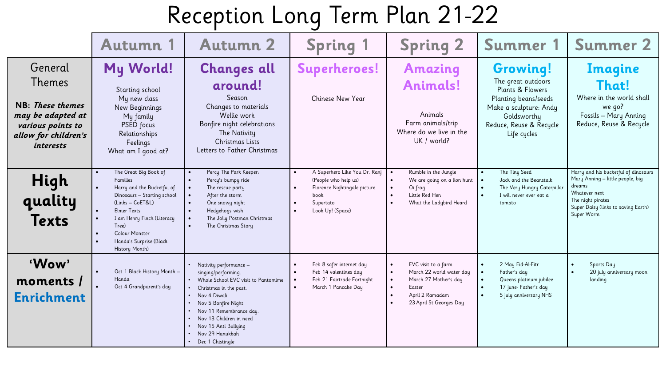|                                                                                                                             | <b>Autumn 1</b>                                                                                                                                                                                                                                                                 | <b>Autumn 2</b>                                                                                                                                                                                                                                                              | <b>Spring 1</b>                                                                                                                | <b>Spring 2</b>                                                                                                                                                                                                | Summer 1                                                                                                                                                                         | <b>Summer 2</b>                                                                                                                                                               |
|-----------------------------------------------------------------------------------------------------------------------------|---------------------------------------------------------------------------------------------------------------------------------------------------------------------------------------------------------------------------------------------------------------------------------|------------------------------------------------------------------------------------------------------------------------------------------------------------------------------------------------------------------------------------------------------------------------------|--------------------------------------------------------------------------------------------------------------------------------|----------------------------------------------------------------------------------------------------------------------------------------------------------------------------------------------------------------|----------------------------------------------------------------------------------------------------------------------------------------------------------------------------------|-------------------------------------------------------------------------------------------------------------------------------------------------------------------------------|
| General<br>Themes<br>NB: These themes<br>may be adapted at<br>various points to<br>allow for children's<br><i>interests</i> | My World!<br>Starting school<br>My new class<br>New Beginnings<br>My family<br>PSED focus<br>Relationships<br>Feelings<br>What am I good at?                                                                                                                                    | <b>Changes all</b><br>around!<br>Season<br>Changes to materials<br>Wellie work<br>Bonfire night celebrations<br>The Nativity<br>Christmas Lists<br>Letters to Father Christmas                                                                                               | Superheroes!<br>Chinese New Year                                                                                               | <b>Amazing</b><br><b>Animals!</b><br>Animals<br>Farm animals/trip<br>Where do we live in the<br>UK / world?                                                                                                    | <b>Growing!</b><br>The great outdoors<br>Plants & Flowers<br>Planting beans/seeds<br>Make a sculpture: Andy<br>Goldsworthy<br>Reduce, Reuse & Recycle<br>Life cycles             | Imagine<br>That!<br>Where in the world shall<br>we qo?<br>Fossils - Mary Anning<br>Reduce, Reuse & Recycle                                                                    |
| High<br>quality<br><b>Texts</b>                                                                                             | The Great Big Book of<br>Families<br>Harry and the Bucketful of<br>Dinosaurs - Starting school<br>(Links - CoET&L)<br><b>Elmer Texts</b><br>$\bullet$<br>I am Henry Finch (Literacy<br>$\bullet$<br>Tree)<br><b>Colour Monster</b><br>Handa's Surprise (Black<br>History Month) | Percy The Park Keeper:<br>Percy's bumpy ride<br>$\bullet$<br>The rescue party<br>After the storm<br>One snowy night<br>Hedgehogs wish<br>The Jolly Postman Christmas<br>The Christmas Story                                                                                  | A Superhero Like You Dr. Ranj<br>(People who help us)<br>Florence Nightingale picture<br>book<br>Supertato<br>Look Up! (Space) | Rumble in the Jungle<br>$\bullet$<br>We are going on a lion hunt<br>$\bullet$<br>Oi frog<br>$\bullet$<br>Little Red Hen<br>$\bullet$<br>What the Ladybird Heard<br>$\bullet$                                   | The Tiny Seed<br>Jack and the Beanstalk<br>$\bullet$<br>The Very Hungry Caterpillar<br>$\bullet$<br>I will never ever eat a<br>$\bullet$<br>tomato                               | Harry and his bucketful of dinosaurs<br>Mary Anning - little people, big<br>dreams<br>Whatever next<br>The night pirates<br>Super Daisy (links to saving Earth)<br>Super Worm |
| 'Wow'<br>moments /<br><b>Enrichment</b>                                                                                     | Oct 1 Black History Month -<br>Handa<br>Oct 4 Grandparent's day                                                                                                                                                                                                                 | Nativity performance -<br>singing/performing.<br>Whole School EVC visit to Pantomime<br>Christmas in the past.<br>• Nov 4 Diwali<br>Nov 5 Bonfire Night<br>Nov 11 Remembrance day.<br>Nov 13 Children in need<br>Nov 15 Anti Bullying<br>Nov 29 Hanukkah<br>Dec 1 Chistingle | Feb 8 safer internet day<br>Feb 14 valentines day<br>Feb 21 Fairtrade Fortnight<br>March 1 Pancake Day                         | EVC visit to a farm<br>$\bullet$<br>March 22 world water day<br>$\bullet$<br>March 27 Mother's day<br>$\bullet$<br>Easter<br>$\bullet$<br>April 2 Ramadam<br>$\bullet$<br>23 April St Georges Day<br>$\bullet$ | 2 May Eid-Al-Fitr<br>$\bullet$<br>Father's day<br>$\bullet$<br>Queens platinum jubilee<br>$\bullet$<br>17 june- Father's day<br>$\bullet$<br>5 july anniversary NHS<br>$\bullet$ | Sports Day<br>20 july anniversary moon<br>landing                                                                                                                             |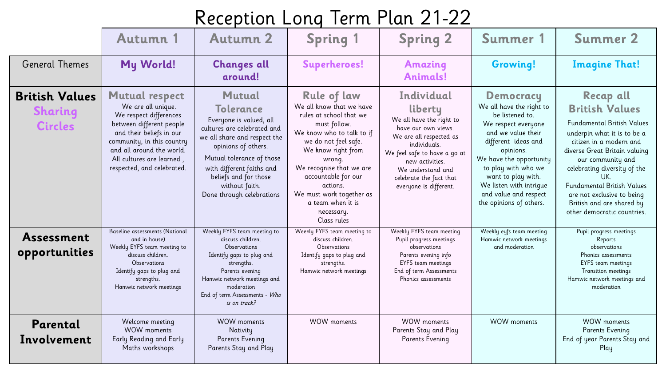|                                                           | Autumn 1                                                                                                                                                                                                                                            | <b>Autumn 2</b>                                                                                                                                                                                                                                                                      | <b>Spring 1</b>                                                                                                                                                                                                                                                                                                             | <b>Spring 2</b>                                                                                                                                                                                                                                  | Summer 1                                                                                                                                                                                                                                                                                                | <b>Summer 2</b>                                                                                                                                                                                                                                                                                                                                                      |
|-----------------------------------------------------------|-----------------------------------------------------------------------------------------------------------------------------------------------------------------------------------------------------------------------------------------------------|--------------------------------------------------------------------------------------------------------------------------------------------------------------------------------------------------------------------------------------------------------------------------------------|-----------------------------------------------------------------------------------------------------------------------------------------------------------------------------------------------------------------------------------------------------------------------------------------------------------------------------|--------------------------------------------------------------------------------------------------------------------------------------------------------------------------------------------------------------------------------------------------|---------------------------------------------------------------------------------------------------------------------------------------------------------------------------------------------------------------------------------------------------------------------------------------------------------|----------------------------------------------------------------------------------------------------------------------------------------------------------------------------------------------------------------------------------------------------------------------------------------------------------------------------------------------------------------------|
| <b>General Themes</b>                                     | My World!                                                                                                                                                                                                                                           | <b>Changes all</b><br>around!                                                                                                                                                                                                                                                        | <b>Superheroes!</b>                                                                                                                                                                                                                                                                                                         | <b>Amazing</b><br><b>Animals!</b>                                                                                                                                                                                                                | <b>Growing!</b>                                                                                                                                                                                                                                                                                         | <b>Imagine That!</b>                                                                                                                                                                                                                                                                                                                                                 |
| <b>British Values</b><br><b>Sharing</b><br><b>Circles</b> | <b>Mutual respect</b><br>We are all unique.<br>We respect differences<br>between different people<br>and their beliefs in our<br>community, in this country<br>and all around the world.<br>All cultures are learned,<br>respected, and celebrated. | <b>Mutual</b><br><b>Tolerance</b><br>Everyone is valued, all<br>cultures are celebrated and<br>we all share and respect the<br>opinions of others.<br>Mutual tolerance of those<br>with different faiths and<br>beliefs and for those<br>without faith.<br>Done through celebrations | <b>Rule of law</b><br>We all know that we have<br>rules at school that we<br>must follow.<br>We know who to talk to if<br>we do not feel safe.<br>We know right from<br>wrong.<br>We recognise that we are<br>accountable for our<br>actions.<br>We must work together as<br>a team when it is<br>necessary.<br>Class rules | Individual<br>liberty<br>We all have the right to<br>have our own views.<br>We are all respected as<br>individuals.<br>We feel safe to have a go at<br>new activities.<br>We understand and<br>celebrate the fact that<br>everyone is different. | <b>Democracy</b><br>We all have the right to<br>be listened to.<br>We respect everyone<br>and we value their<br>different ideas and<br>opinions.<br>We have the opportunity<br>to play with who we<br>want to play with.<br>We listen with intrique<br>and value and respect<br>the opinions of others. | <b>Recap all</b><br><b>British Values</b><br><b>Fundamental British Values</b><br>underpin what it is to be a<br>citizen in a modern and<br>diverse Great Britain valuing<br>our community and<br>celebrating diversity of the<br>UK.<br><b>Fundamental British Values</b><br>are not exclusive to being<br>British and are shared by<br>other democratic countries. |
| Assessment<br>opportunities                               | Baseline assessments (National<br>and in house)<br>Weekly EYFS team meeting to<br>discuss children.<br><b>Observations</b><br>Identify gaps to plug and<br>strengths.<br>Hamwic network meetings                                                    | Weekly EYFS team meeting to<br>discuss children.<br>Observations<br>Identify gaps to plug and<br>strengths.<br>Parents evening<br>Hamwic network meetings and<br>moderation<br>End of term Assessments - Who<br>is on track?                                                         | Weekly EYFS team meeting to<br>discuss children.<br>Observations<br>Identify gaps to plug and<br>strengths.<br>Hamwic network meetings                                                                                                                                                                                      | Weekly EYFS team meeting<br>Pupil progress meetings<br>observations<br>Parents evening info<br>EYFS team meetings<br>End of term Assessments<br><b>Phonics assessments</b>                                                                       | Weekly eyfs team meeting<br>Hamwic network meetings<br>and moderation                                                                                                                                                                                                                                   | Pupil progress meetings<br>Reports<br>observations<br>Phonics assessments<br><b>EYFS</b> team meetings<br>Transition meetings<br>Hamwic network meetings and<br>moderation                                                                                                                                                                                           |
| Parental<br>Involvement                                   | Welcome meeting<br><b>WOW</b> moments<br>Early Reading and Early<br>Maths workshops                                                                                                                                                                 | <b>WOW</b> moments<br>Nativity<br>Parents Evening<br>Parents Stay and Play                                                                                                                                                                                                           | <b>WOW</b> moments                                                                                                                                                                                                                                                                                                          | <b>WOW</b> moments<br>Parents Stay and Play<br>Parents Evening                                                                                                                                                                                   | <b>WOW</b> moments                                                                                                                                                                                                                                                                                      | <b>WOW</b> moments<br>Parents Evening<br>End of year Parents Stay and<br>Play                                                                                                                                                                                                                                                                                        |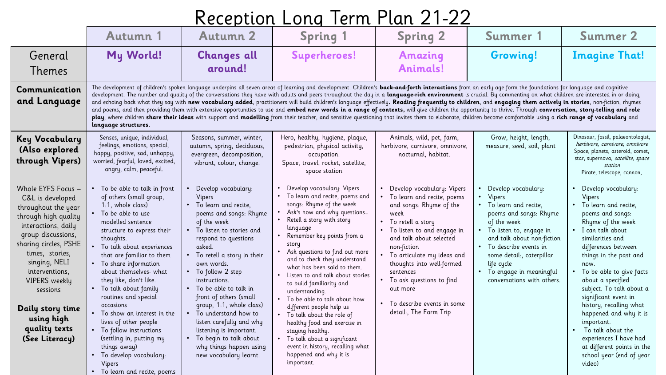|                                                                                                                                                                                                                                                                                                                     |                                                                                                                                                                                                                                                                                                                                                                                                                                                                                                                                                                                                                                                                                                                                                                                                                                                                                                                                                                                                                                                                                                                   | . 1777 - 178                                                                                                                                                                                                                                                                                                                                                                                                                                                                                                              | .                                                                                                                                                                                                                                                                                                                                                                                                                                                                                                                                                                                                                                                    |                                                                                                                                                                                                                                                                                                                                                                                |                                                                                                                                                                                                                                                                                              |                                                                                                                                                                                                                                                                                                                                                                                                                                                                                              |  |
|---------------------------------------------------------------------------------------------------------------------------------------------------------------------------------------------------------------------------------------------------------------------------------------------------------------------|-------------------------------------------------------------------------------------------------------------------------------------------------------------------------------------------------------------------------------------------------------------------------------------------------------------------------------------------------------------------------------------------------------------------------------------------------------------------------------------------------------------------------------------------------------------------------------------------------------------------------------------------------------------------------------------------------------------------------------------------------------------------------------------------------------------------------------------------------------------------------------------------------------------------------------------------------------------------------------------------------------------------------------------------------------------------------------------------------------------------|---------------------------------------------------------------------------------------------------------------------------------------------------------------------------------------------------------------------------------------------------------------------------------------------------------------------------------------------------------------------------------------------------------------------------------------------------------------------------------------------------------------------------|------------------------------------------------------------------------------------------------------------------------------------------------------------------------------------------------------------------------------------------------------------------------------------------------------------------------------------------------------------------------------------------------------------------------------------------------------------------------------------------------------------------------------------------------------------------------------------------------------------------------------------------------------|--------------------------------------------------------------------------------------------------------------------------------------------------------------------------------------------------------------------------------------------------------------------------------------------------------------------------------------------------------------------------------|----------------------------------------------------------------------------------------------------------------------------------------------------------------------------------------------------------------------------------------------------------------------------------------------|----------------------------------------------------------------------------------------------------------------------------------------------------------------------------------------------------------------------------------------------------------------------------------------------------------------------------------------------------------------------------------------------------------------------------------------------------------------------------------------------|--|
|                                                                                                                                                                                                                                                                                                                     | Autumn 1                                                                                                                                                                                                                                                                                                                                                                                                                                                                                                                                                                                                                                                                                                                                                                                                                                                                                                                                                                                                                                                                                                          | <b>Autumn 2</b>                                                                                                                                                                                                                                                                                                                                                                                                                                                                                                           | <b>Spring 1</b>                                                                                                                                                                                                                                                                                                                                                                                                                                                                                                                                                                                                                                      | <b>Spring 2</b>                                                                                                                                                                                                                                                                                                                                                                | Summer 1                                                                                                                                                                                                                                                                                     | <b>Summer 2</b>                                                                                                                                                                                                                                                                                                                                                                                                                                                                              |  |
| General<br>Themes                                                                                                                                                                                                                                                                                                   | My World!                                                                                                                                                                                                                                                                                                                                                                                                                                                                                                                                                                                                                                                                                                                                                                                                                                                                                                                                                                                                                                                                                                         | <b>Changes all</b><br>around!                                                                                                                                                                                                                                                                                                                                                                                                                                                                                             | <b>Superheroes!</b>                                                                                                                                                                                                                                                                                                                                                                                                                                                                                                                                                                                                                                  | <b>Amazing</b><br><b>Animals!</b>                                                                                                                                                                                                                                                                                                                                              | Growing!                                                                                                                                                                                                                                                                                     | <b>Imagine That!</b>                                                                                                                                                                                                                                                                                                                                                                                                                                                                         |  |
| Communication<br>and Language                                                                                                                                                                                                                                                                                       | The development of children's spoken language underpins all seven areas of learning and development. Children's back-and-forth interactions from an early age form the foundations for language and cognitive<br>development. The number and quality of the conversations they have with adults and peers throughout the day in a language-rich environment is crucial. By commenting on what children are interested in or doing,<br>and echoing back what they say with new vocabulary added, practitioners will build children's language effectively. Reading frequently to children, and engaging them actively in stories, non-fiction, rhymes<br>and poems, and then providing them with extensive opportunities to use and embed new words in a range of contexts, will give children the opportunity to thrive. Through conversation, story-telling and role<br>play, where children share their ideas with support and modelling from their teacher, and sensitive questioning that invites them to elaborate, children become comfortable using a rich range of vocabulary and<br>language structures. |                                                                                                                                                                                                                                                                                                                                                                                                                                                                                                                           |                                                                                                                                                                                                                                                                                                                                                                                                                                                                                                                                                                                                                                                      |                                                                                                                                                                                                                                                                                                                                                                                |                                                                                                                                                                                                                                                                                              |                                                                                                                                                                                                                                                                                                                                                                                                                                                                                              |  |
| <b>Key Vocabulary</b><br>(Also explored<br>through Vipers)                                                                                                                                                                                                                                                          | Senses, unique, individual,<br>feelings, emotions, special,<br>happy, positive, sad, unhappy,<br>worried, fearful, loved, excited,<br>angry, calm, peaceful.                                                                                                                                                                                                                                                                                                                                                                                                                                                                                                                                                                                                                                                                                                                                                                                                                                                                                                                                                      | Seasons, summer, winter,<br>autumn, spring, deciduous,<br>evergreen, decomposition,<br>vibrant, colour, change.                                                                                                                                                                                                                                                                                                                                                                                                           | Hero, healthy, hygiene, plaque,<br>pedestrian, physical activity,<br>occupation.<br>Space, travel, rocket, satellite,<br>space station                                                                                                                                                                                                                                                                                                                                                                                                                                                                                                               | Animals, wild, pet, farm,<br>herbivore, carnivore, omnivore,<br>nocturnal, habitat.                                                                                                                                                                                                                                                                                            | Grow, height, length,<br>measure, seed, soil, plant                                                                                                                                                                                                                                          | Dinosaur, fossil, palaeontologist,<br>herbivore, carnivore, omnivore<br>Space, planets, asteroid, comet,<br>star, supernova, satellite, space<br>station<br>Pirate, telescope, cannon,                                                                                                                                                                                                                                                                                                       |  |
| Whole EYFS Focus -<br>C&L is developed<br>throughout the year<br>through high quality<br>interactions, daily<br>group discussions,<br>sharing circles, PSHE<br>times, stories,<br>singing, NELI<br>interventions,<br>VIPERS weekly<br>sessions<br>Daily story time<br>using high<br>quality texts<br>(See Literacy) | • To be able to talk in front<br>of others (small group,<br>1:1, whole class)<br>• To be able to use<br>modelled sentence<br>structure to express their<br>thoughts.<br>To talk about experiences<br>that are familiar to them<br>• To share information<br>about themselves- what<br>they like, don't like.<br>• To talk about family<br>routines and special<br>occasions<br>To show an interest in the<br>lives of other people<br>• To follow instructions<br>(settling in, putting my<br>things away)<br>• To develop vocabulary:<br>Vipers<br>To learn and recite, poems                                                                                                                                                                                                                                                                                                                                                                                                                                                                                                                                    | Develop vocabulary:<br>Vipers<br>• To learn and recite,<br>poems and songs: Rhyme<br>of the week<br>To listen to stories and<br>$\bullet$<br>respond to questions<br>asked.<br>• To retell a story in their<br>own words.<br>• To follow 2 step<br>instructions.<br>$\bullet$ To be able to talk in<br>front of others (small<br>group, 1:1, whole class)<br>To understand how to<br>listen carefully and why<br>listening is important.<br>• To begin to talk about<br>why things happen using<br>new vocabulary learnt. | Develop vocabulary: Vipers<br>To learn and recite, poems and<br>songs: Rhyme of the week<br>Ask's how and why questions<br>Retell a story with story<br>language<br>Remember key points from a<br>story<br>Ask questions to find out more<br>and to check they understand<br>what has been said to them.<br>Listen to and talk about stories<br>to build familiarity and<br>understanding.<br>• To be able to talk about how<br>different people help us<br>To talk about the role of<br>healthy food and exercise in<br>staying healthy.<br>To talk about a significant<br>event in history, recalling what<br>happened and why it is<br>important. | • Develop vocabulary: Vipers<br>• To learn and recite, poems<br>and songs: Rhyme of the<br>week<br>• To retell a story<br>• To listen to and engage in<br>and talk about selected<br>non-fiction<br>• To articulate my ideas and<br>thoughts into well-formed<br>sentences<br>• To ask questions to find<br>out more<br>• To describe events in some<br>detail:, The Farm Trip | Develop vocabulary:<br>• Vipers<br>• To learn and recite,<br>poems and songs: Rhyme<br>of the week<br>To listen to, engage in<br>and talk about non-fiction<br>• To describe events in<br>some detail:, caterpillar<br>life cycle<br>• To engage in meaningful<br>conversations with others. | Develop vocabulary:<br>Vipers<br>• To learn and recite,<br>poems and songs:<br>Rhyme of the week<br>I can talk about<br>similarities and<br>differences between<br>things in the past and<br>now.<br>To be able to give facts<br>about a specified<br>subject. To talk about a<br>significant event in<br>history, recalling what<br>happened and why it is<br>important.<br>To talk about the<br>experiences I have had<br>at different points in the<br>school year (end of year<br>video) |  |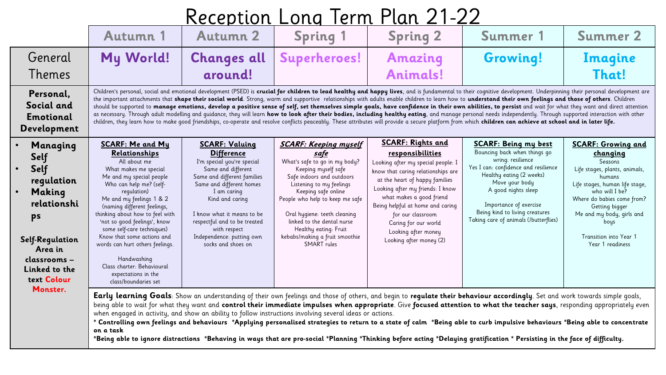| Reception Long Term Plan 21-22 |  |  |  |
|--------------------------------|--|--|--|
|                                |  |  |  |

|                                                                                                                                                     | Autumn 1                                                                                                                                                                                                                                                                                                                                                                                                                                                                                                                                                                                                                                                                                                                                                                                                                                                                                                                                                                                                                                                                           | <b>Autumn 2</b>                                                                                                                                                                                                                                                                                                              | <b>Spring 1</b>                                                                                                                                                                                                                                                                                                                                                | <b>Spring 2</b>                                                                                                                                                                                                                                                                                                                                               | Summer 1                                                                                                                                                                                                                                                                                           | <b>Summer 2</b>                                                                                                                                                                                                                                                                    |  |  |
|-----------------------------------------------------------------------------------------------------------------------------------------------------|------------------------------------------------------------------------------------------------------------------------------------------------------------------------------------------------------------------------------------------------------------------------------------------------------------------------------------------------------------------------------------------------------------------------------------------------------------------------------------------------------------------------------------------------------------------------------------------------------------------------------------------------------------------------------------------------------------------------------------------------------------------------------------------------------------------------------------------------------------------------------------------------------------------------------------------------------------------------------------------------------------------------------------------------------------------------------------|------------------------------------------------------------------------------------------------------------------------------------------------------------------------------------------------------------------------------------------------------------------------------------------------------------------------------|----------------------------------------------------------------------------------------------------------------------------------------------------------------------------------------------------------------------------------------------------------------------------------------------------------------------------------------------------------------|---------------------------------------------------------------------------------------------------------------------------------------------------------------------------------------------------------------------------------------------------------------------------------------------------------------------------------------------------------------|----------------------------------------------------------------------------------------------------------------------------------------------------------------------------------------------------------------------------------------------------------------------------------------------------|------------------------------------------------------------------------------------------------------------------------------------------------------------------------------------------------------------------------------------------------------------------------------------|--|--|
| General<br>Themes                                                                                                                                   | My World!                                                                                                                                                                                                                                                                                                                                                                                                                                                                                                                                                                                                                                                                                                                                                                                                                                                                                                                                                                                                                                                                          | <b>Changes all</b><br>around!                                                                                                                                                                                                                                                                                                | Superheroes!                                                                                                                                                                                                                                                                                                                                                   | <b>Amazing</b><br><b>Animals!</b>                                                                                                                                                                                                                                                                                                                             | <b>Growing!</b>                                                                                                                                                                                                                                                                                    | Imagine<br>That!                                                                                                                                                                                                                                                                   |  |  |
| Personal,<br>Social and<br><b>Emotional</b><br>Development                                                                                          | Children's personal, social and emotional development (PSED) is crucial for children to lead healthy and happy lives, and is fundamental to their cognitive development. Underpinning their personal development are<br>the important attachments that shape their social world. Strong, warm and supportive relationships with adults enable children to learn how to understand their own feelings and those of others. Children<br>should be supported to manage emotions, develop a positive sense of self, set themselves simple goals, have confidence in their own abilities, to persist and wait for what they want and direct attention<br>as necessary. Through adult modelling and quidance, they will learn how to look after their bodies, including healthy eating, and manage personal needs independently. Through supported interaction with other<br>children, they learn how to make good friendships, co-operate and resolve conflicts peaceably. These attributes will provide a secure platform from which children can achieve at school and in later life. |                                                                                                                                                                                                                                                                                                                              |                                                                                                                                                                                                                                                                                                                                                                |                                                                                                                                                                                                                                                                                                                                                               |                                                                                                                                                                                                                                                                                                    |                                                                                                                                                                                                                                                                                    |  |  |
| Managing<br>Self<br>Self<br>regulation<br>Making<br>relationshi<br>ps<br>Self-Regulation<br>Area in<br>classrooms -<br>Linked to the<br>text Colour | <b>SCARF: Me and My</b><br>Relationships<br>All about me<br>What makes me special<br>Me and my special people<br>Who can help me? (self-<br>regulation)<br>Me and my feelings 1 & 2<br>(naming different feelings,<br>thinking about how to feel with<br>'not so good feelings', know<br>some self-care techniques)<br>Know that some actions and<br>words can hurt others feelings.<br>Handwashing<br>Class charter: Behavioural<br>expectations in the<br>class/boundaries set                                                                                                                                                                                                                                                                                                                                                                                                                                                                                                                                                                                                   | <b>SCARF: Valuing</b><br><b>Difference</b><br>I'm special you're special<br>Same and different<br>Same and different families<br>Same and different homes<br>I am caring<br>Kind and caring<br>I know what it means to be<br>respectful and to be treated<br>with respect<br>Independence: putting own<br>socks and shoes on | <b>SCARF: Keeping myself</b><br>safe<br>What's safe to go in my body?<br>Keeping myself safe<br>Safe indoors and outdoors<br>Listening to my feelings<br>Keeping safe online<br>People who help to keep me safe<br>Oral hygiene: teeth cleaning<br>linked to the dental nurse<br>Healthy eating: Fruit<br>kebabs/making a fruit smoothie<br><b>SMART</b> rules | <b>SCARF: Rights and</b><br>responsibilities<br>Looking after my special people: I<br>know that caring relationships are<br>at the heart of happy families<br>Looking after my friends: I know<br>what makes a good friend<br>Being helpful at home and caring<br>for our classroom<br>Caring for our world<br>Looking after money<br>Looking after money (2) | <b>SCARF: Being my best</b><br>Bouncing back when things go<br>wring: resilience<br>Yes I can: confidence and resilience<br>Healthy eating (2 weeks)<br>Move your body<br>A good nights sleep<br>Importance of exercise<br>Being kind to living creatures<br>Taking care of animals (/butterflies) | <b>SCARF: Growing and</b><br>changing<br>Seasons<br>Life stages, plants, animals,<br>humans<br>Life stages, human life stage,<br>who will I be?<br>Where do babies come from?<br>Getting bigger<br>Me and my body, girls and<br>bous<br>Transition into Year 1<br>Year 1 readiness |  |  |
|                                                                                                                                                     | Monster.<br><b>Early learning Goals</b> : Show an understanding of their own feelings and those of others, and begin to regulate their behaviour accordingly. Set and work towards simple goals,<br>being able to wait for what they want and control their immediate impulses when appropriate. Give focused attention to what the teacher says, responding appropriately even<br>when engaged in activity, and show an ability to follow instructions involving several ideas or actions.<br>* Controlling own feelings and behaviours *Applying personalised strategies to return to a state of calm *Being able to curb impulsive behaviours *Being able to concentrate<br>on a task                                                                                                                                                                                                                                                                                                                                                                                           |                                                                                                                                                                                                                                                                                                                              |                                                                                                                                                                                                                                                                                                                                                                |                                                                                                                                                                                                                                                                                                                                                               |                                                                                                                                                                                                                                                                                                    |                                                                                                                                                                                                                                                                                    |  |  |

**\*Being able to ignore distractions \*Behaving in ways that are pro-social \*Planning \*Thinking before acting \*Delaying gratification \* Persisting in the face of difficulty.**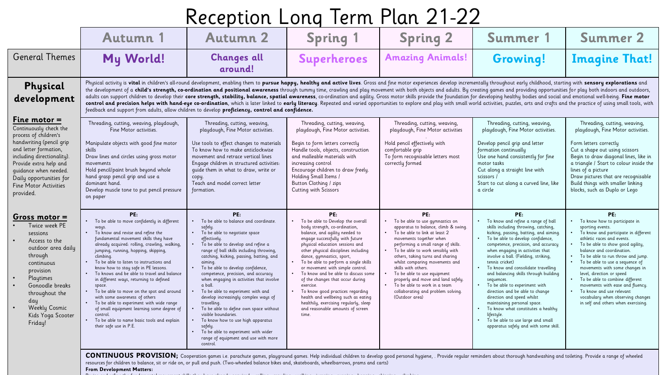| Autumn 1                                                                                                                                                                                                                                                                                                                                                                                                                                                                                                                                                                                                                                                                                                 | <b>Autumn 2</b>                                                                                                                                                                                                                                                                                                                                                                                                                                                                                                                                                                                                                                                                                           | <b>Spring 1</b>                                                                                                                                                                                                                                                                                                                                                                                                                                                                                                                                                                                                                                                                                 | <b>Spring 2</b>                                                                                                                                                                                                                                                                                                                                                                                                                                                                             | Summer 1                                                                                                                                                                                                                                                                                                                                                                                                                                                                                                                                                                                                                                                             | <b>Summer 2</b>                                                                                                                                                                                                                                                                                                                                                                                                                                                                                                                                                                                                                                                                                                                                                                                                                                                                                                                                                                                                                                                                                                                                                                                        |
|----------------------------------------------------------------------------------------------------------------------------------------------------------------------------------------------------------------------------------------------------------------------------------------------------------------------------------------------------------------------------------------------------------------------------------------------------------------------------------------------------------------------------------------------------------------------------------------------------------------------------------------------------------------------------------------------------------|-----------------------------------------------------------------------------------------------------------------------------------------------------------------------------------------------------------------------------------------------------------------------------------------------------------------------------------------------------------------------------------------------------------------------------------------------------------------------------------------------------------------------------------------------------------------------------------------------------------------------------------------------------------------------------------------------------------|-------------------------------------------------------------------------------------------------------------------------------------------------------------------------------------------------------------------------------------------------------------------------------------------------------------------------------------------------------------------------------------------------------------------------------------------------------------------------------------------------------------------------------------------------------------------------------------------------------------------------------------------------------------------------------------------------|---------------------------------------------------------------------------------------------------------------------------------------------------------------------------------------------------------------------------------------------------------------------------------------------------------------------------------------------------------------------------------------------------------------------------------------------------------------------------------------------|----------------------------------------------------------------------------------------------------------------------------------------------------------------------------------------------------------------------------------------------------------------------------------------------------------------------------------------------------------------------------------------------------------------------------------------------------------------------------------------------------------------------------------------------------------------------------------------------------------------------------------------------------------------------|--------------------------------------------------------------------------------------------------------------------------------------------------------------------------------------------------------------------------------------------------------------------------------------------------------------------------------------------------------------------------------------------------------------------------------------------------------------------------------------------------------------------------------------------------------------------------------------------------------------------------------------------------------------------------------------------------------------------------------------------------------------------------------------------------------------------------------------------------------------------------------------------------------------------------------------------------------------------------------------------------------------------------------------------------------------------------------------------------------------------------------------------------------------------------------------------------------|
| My World!                                                                                                                                                                                                                                                                                                                                                                                                                                                                                                                                                                                                                                                                                                | <b>Changes all</b><br>around!                                                                                                                                                                                                                                                                                                                                                                                                                                                                                                                                                                                                                                                                             | <b>Superheroes</b>                                                                                                                                                                                                                                                                                                                                                                                                                                                                                                                                                                                                                                                                              | <b>Amazing Animals!</b>                                                                                                                                                                                                                                                                                                                                                                                                                                                                     | <b>Growing!</b>                                                                                                                                                                                                                                                                                                                                                                                                                                                                                                                                                                                                                                                      | <b>Imagine That!</b>                                                                                                                                                                                                                                                                                                                                                                                                                                                                                                                                                                                                                                                                                                                                                                                                                                                                                                                                                                                                                                                                                                                                                                                   |
| Physical<br>development<br>feedback and support from adults, allow children to develop proficiency, control and confidence.                                                                                                                                                                                                                                                                                                                                                                                                                                                                                                                                                                              |                                                                                                                                                                                                                                                                                                                                                                                                                                                                                                                                                                                                                                                                                                           |                                                                                                                                                                                                                                                                                                                                                                                                                                                                                                                                                                                                                                                                                                 |                                                                                                                                                                                                                                                                                                                                                                                                                                                                                             |                                                                                                                                                                                                                                                                                                                                                                                                                                                                                                                                                                                                                                                                      |                                                                                                                                                                                                                                                                                                                                                                                                                                                                                                                                                                                                                                                                                                                                                                                                                                                                                                                                                                                                                                                                                                                                                                                                        |
| Threading, cutting, weaving, playdough,<br>Fine Motor activities.<br>Manipulate objects with good fine motor<br>skills<br>Draw lines and circles using gross motor<br>movements<br>Hold pencil/paint brush beyond whole<br>hand grasp pencil grip and use a<br>dominant hand.<br>Develop muscle tone to put pencil pressure<br>on paper                                                                                                                                                                                                                                                                                                                                                                  | Threading, cutting, weaving,<br>playdough, Fine Motor activities.<br>Use tools to effect changes to materials<br>To know how to make anticlockwise<br>movement and retrace vertical lines<br>Engage children in structured activities:<br>quide them in what to draw, write or<br>copy.<br>Teach and model correct letter<br>formation.                                                                                                                                                                                                                                                                                                                                                                   | playdough, Fine Motor activities<br>playdough, Fine Motor activities.<br>playdough, Fine Motor activities.<br>Hold pencil effectively with<br>Develop pencil grip and letter<br>Begin to form letters correctly<br>Handle tools, objects, construction<br>comfortable grip<br>formation continually<br>To form recognisable letters most<br>Use one hand consistently for fine<br>and malleable materials with<br>correctly formed<br>increasing control<br>motor tasks<br>Encourage children to draw freely.<br>Cut along a straight line with<br>Holding Small Items /<br>scissors /<br>Button Clothing / zips<br>Start to cut along a curved line, like<br>Cutting with Scissors<br>a circle |                                                                                                                                                                                                                                                                                                                                                                                                                                                                                             |                                                                                                                                                                                                                                                                                                                                                                                                                                                                                                                                                                                                                                                                      | Threading, cutting, weaving,<br>playdough, Fine Motor activities.<br>Form letters correctly<br>Cut a shape out using scissors<br>Begin to draw diagonal lines, like in<br>a triangle / Start to colour inside the<br>lines of a picture<br>Draw pictures that are recognisable<br>Build things with smaller linking<br>blocks, such as Duplo or Lego                                                                                                                                                                                                                                                                                                                                                                                                                                                                                                                                                                                                                                                                                                                                                                                                                                                   |
| PE:<br>To be able to move confidently in different<br>ways.<br>• To know and revise and refine the<br>fundamental movement skills they have<br>already acquired: rolling, crawling, walking,<br>jumping, running, hopping, skipping,<br>climbing.<br>To be able to listen to instructions and<br>know how to stay safe in PE lessons.<br>• To knows and be able to travel and balance<br>in different ways, returning to defined<br>space.<br>• To be able to move on the spot and around<br>with some awareness of others<br>To be able to experiment with wide range<br>of small equipment learning some degree of<br>control.<br>To be able to name basic tools and explain<br>their safe use in P.E. | PE:<br>To be able to balance and coordinate.<br>safely<br>To be able to negotiate space<br>$\bullet$ .<br>effectively.<br>To be able to develop and refine a<br>range of ball skills including throwing,<br>catching, kicking, passing, batting, and<br>aiming.<br>To be able to develop confidence,<br>competence, precision, and accuracy<br>when engaging in activities that involve<br>a ball<br>To be able to experiment with and<br>develop increasingly complex ways of<br>travelling.<br>To be able to define own space without<br>visible boundaries.<br>To know how to use high apparatus<br>safely.<br>To be able to experiment with wider<br>range of equipment and use with more<br>control. | PE:<br>To be able to Develop the overall<br>body strength, co-ordination,<br>balance, and agility needed to<br>engage successfully with future<br>physical education sessions and<br>other physical disciplines including<br>dance, gymnastics, sport,<br>To be able to perform a single skills<br>or movement with simple control.<br>To know and be able to discuss some<br>of the changes that occur during<br>exercise.<br>To know good practices regarding<br>health and wellbeing such as eating<br>healthily, exercising regularly, sleep<br>and reasonable amounts of screen<br>time.                                                                                                   | PE:<br>To be able to use gymnastics on<br>apparatus to balance, climb & swing.<br>To be able to link at least 2<br>$\bullet$<br>movements together when<br>performing a small range of skills.<br>To be able to work sensibly with<br>others, taking turns and sharing<br>whilst comparing movements and<br>skills with others.<br>To be able to use equipment<br>properly and move and land safely.<br>To be able to work in a team<br>collaborating and problem solving<br>(Outdoor area) | PE:<br>To know and refine a range of ball<br>skills including throwing, catching,<br>kicking, passing, batting, and aiming.<br>To be able to develop confidence,<br>competence, precision, and accuracy<br>when engaging in activities that<br>involve a ball. (Fielding, striking,<br>tennis cricket)<br>To know and consolidate travelling<br>and balancing skills through building<br>sequences.<br>To be able to experiment with<br>direction and be able to change<br>direction and speed whilst<br>maintaining personal space.<br>To know what constitutes a healthy<br>lifestule<br>To be able to use large and small<br>apparatus safely and with some skill | PE:<br>• To know how to participate in<br>sporting events.<br>. To know and participate in different<br>athletic races and events.<br>To be able to show good agility,<br>balance and coordination.<br>• To be able to run throw and jump<br>To be able to use a sequence of<br>movements with some changes in<br>level, direction or speed<br>To be able to combine different<br>movements with ease and fluency.<br>To know and use relevant<br>vocabulary when observing changes<br>in self and others when exercising.                                                                                                                                                                                                                                                                                                                                                                                                                                                                                                                                                                                                                                                                             |
|                                                                                                                                                                                                                                                                                                                                                                                                                                                                                                                                                                                                                                                                                                          |                                                                                                                                                                                                                                                                                                                                                                                                                                                                                                                                                                                                                                                                                                           |                                                                                                                                                                                                                                                                                                                                                                                                                                                                                                                                                                                                                                                                                                 | Threading, cutting, weaving,                                                                                                                                                                                                                                                                                                                                                                                                                                                                | Threading, cutting, weaving,                                                                                                                                                                                                                                                                                                                                                                                                                                                                                                                                                                                                                                         | Physical activity is vital in children's all-round development, enabling them to pursue happy, healthy and active lives. Gross and fine motor experiences develop incrementally throughout early childhood, starting with sens<br>the development of a child's strength, co-ordination and positional awareness through tummy time, crawling and play movement with both objects and adults. By creating games and providing opportunities for play both indoors<br>adults can support children to develop their core strength, stability, balance, spatial awareness, co-ordination and agility. Gross motor skills provide the foundation for developing healthy bodies and social and emotional<br>control and precision helps with hand-eye co-ordination, which is later linked to early literacy. Repeated and varied opportunities to explore and play with small world activities, puzzles, arts and crafts and the practice<br>Threading, cutting, weaving,<br>CONTINUOUS PROVISION; Cooperation games i.e. parachute games, playground games. Help individual children to develop good personal hygiene, . Provide regular reminders about thorough handwashing and toileting. Provide a ran |

resources for children to balance, sit or ride on, or pull and push. (Two-wheeled balance bikes and, skateboards, wheelbarrows, prams and carts)

**From Development Matters:**

Revise and refine the fundamental movement skills they have already acquired: - rolling - crawling - walking - jumping - running - hopping - skipping – climbing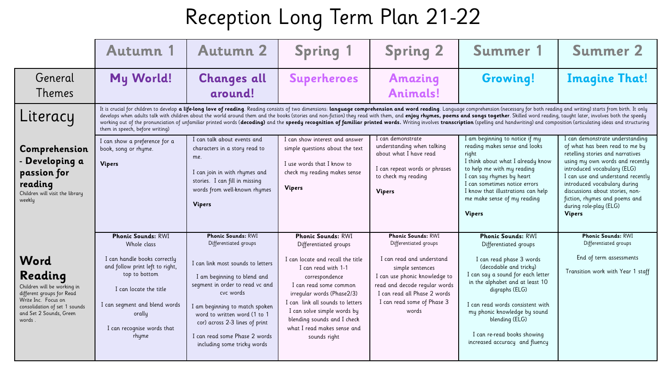|                                                                                                                                                                          | Autumn 1                                                                                                                                                                                                                                 | <b>Autumn 2</b>                                                                                                                                                                                                                                                                                                                                                                                                                                                                                                                                                                                                                                                                                    | <b>Spring 1</b>                                                                                                                                                                                                                                                                                                                           | <b>Spring 2</b>                                                                                                                                                                                                                              | Summer 1                                                                                                                                                                                                                                                                                                                                                  | <b>Summer 2</b>                                                                                                                                                                                                                                                                                                                                             |  |  |  |  |
|--------------------------------------------------------------------------------------------------------------------------------------------------------------------------|------------------------------------------------------------------------------------------------------------------------------------------------------------------------------------------------------------------------------------------|----------------------------------------------------------------------------------------------------------------------------------------------------------------------------------------------------------------------------------------------------------------------------------------------------------------------------------------------------------------------------------------------------------------------------------------------------------------------------------------------------------------------------------------------------------------------------------------------------------------------------------------------------------------------------------------------------|-------------------------------------------------------------------------------------------------------------------------------------------------------------------------------------------------------------------------------------------------------------------------------------------------------------------------------------------|----------------------------------------------------------------------------------------------------------------------------------------------------------------------------------------------------------------------------------------------|-----------------------------------------------------------------------------------------------------------------------------------------------------------------------------------------------------------------------------------------------------------------------------------------------------------------------------------------------------------|-------------------------------------------------------------------------------------------------------------------------------------------------------------------------------------------------------------------------------------------------------------------------------------------------------------------------------------------------------------|--|--|--|--|
| General<br><b>Themes</b>                                                                                                                                                 | My World!                                                                                                                                                                                                                                | <b>Changes all</b><br>around!                                                                                                                                                                                                                                                                                                                                                                                                                                                                                                                                                                                                                                                                      | <b>Superheroes</b>                                                                                                                                                                                                                                                                                                                        | <b>Amazing</b><br><b>Animals!</b>                                                                                                                                                                                                            | <b>Growing!</b>                                                                                                                                                                                                                                                                                                                                           | <b>Imagine That!</b>                                                                                                                                                                                                                                                                                                                                        |  |  |  |  |
| Literacy                                                                                                                                                                 | them in speech, before writing)                                                                                                                                                                                                          | It is crucial for children to develop a life-long love of reading. Reading consists of two dimensions: language comprehension and word reading. Language comprehension (necessary for both reading and writing) starts from bi<br>develops when adults talk with children about the world around them and the books (stories and non-fiction) they read with them, and enjoy rhymes, poems and songs together. Skilled word reading, taught later, involves both<br>working out of the pronunciation of unfamiliar printed words (decoding) and the speedy recognition of familiar printed words. Writing involves transcription (spelling and handwriting) and composition (articulating ideas an |                                                                                                                                                                                                                                                                                                                                           |                                                                                                                                                                                                                                              |                                                                                                                                                                                                                                                                                                                                                           |                                                                                                                                                                                                                                                                                                                                                             |  |  |  |  |
| Comprehension<br>Developing a<br>passion for<br>reading<br>Children will visit the library<br>weekly                                                                     | I can show a preference for a<br>book, song or rhyme.<br><b>Vipers</b>                                                                                                                                                                   | I can talk about events and<br>characters in a story read to<br>me.<br>I can join in with rhymes and<br>stories. I can fill in missing<br>words from well-known rhymes<br><b>Vipers</b>                                                                                                                                                                                                                                                                                                                                                                                                                                                                                                            | I can show interest and answer<br>simple questions about the text<br>I use words that I know to<br>check my reading makes sense<br><b>Vipers</b>                                                                                                                                                                                          | I can demonstrate<br>understanding when talking<br>about what I have read<br>I can repeat words or phrases<br>to check my reading<br><b>Vipers</b>                                                                                           | I am beginning to notice if my<br>reading makes sense and looks<br>right<br>I think about what I already know<br>to help me with my reading<br>I can say rhymes by heart<br>I can sometimes notice errors<br>I know that illustrations can help<br>me make sense of my reading<br><b>Vipers</b>                                                           | I can demonstrate understanding<br>of what has been read to me by<br>retelling stories and narratives<br>using my own words and recently<br>introduced vocabulary (ELG)<br>I can use and understand recently<br>introduced vocabulary during<br>discussions about stories, non-<br>fiction, rhymes and poems and<br>during role-play (ELG)<br><b>Vipers</b> |  |  |  |  |
| Word<br>Reading<br>Children will be working in<br>different groups for Read<br>Write Inc. Focus on<br>consolidation of set 1 sounds<br>and Set 2 Sounds, Green<br>words. | <b>Phonic Sounds: RWI</b><br>Whole class<br>I can handle books correctly<br>and follow print left to right,<br>top to bottom<br>I can locate the title<br>I can segment and blend words<br>orally<br>I can recognise words that<br>rhyme | <b>Phonic Sounds: RWI</b><br>Differentiated groups<br>I can link most sounds to letters<br>I am beginning to blend and<br>segment in order to read vc and<br>cvc words<br>I am beginning to match spoken<br>word to written word (1 to 1<br>cor) across 2-3 lines of print<br>I can read some Phase 2 words<br>including some tricky words                                                                                                                                                                                                                                                                                                                                                         | <b>Phonic Sounds: RWI</b><br>Differentiated groups<br>I can locate and recall the title<br>I can read with 1-1<br>correspondence<br>I can read some common<br>irregular words (Phase2/3)<br>I can link all sounds to letters<br>I can solve simple words by<br>blending sounds and I check<br>what I read makes sense and<br>sounds right | <b>Phonic Sounds: RWI</b><br>Differentiated groups<br>I can read and understand<br>simple sentences<br>I can use phonic knowledge to<br>read and decode regular words<br>I can read all Phase 2 words<br>I can read some of Phase 3<br>words | <b>Phonic Sounds: RWI</b><br>Differentiated groups<br>I can read phase 3 words<br>(decodable and tricky)<br>I can say a sound for each letter<br>in the alphabet and at least 10<br>digraphs (ELG)<br>I can read words consistent with<br>my phonic knowledge by sound<br>blending (ELG)<br>I can re-read books showing<br>increased accuracy and fluency | <b>Phonic Sounds: RWI</b><br>Differentiated groups<br>End of term assessments<br>Transition work with Year 1 staff                                                                                                                                                                                                                                          |  |  |  |  |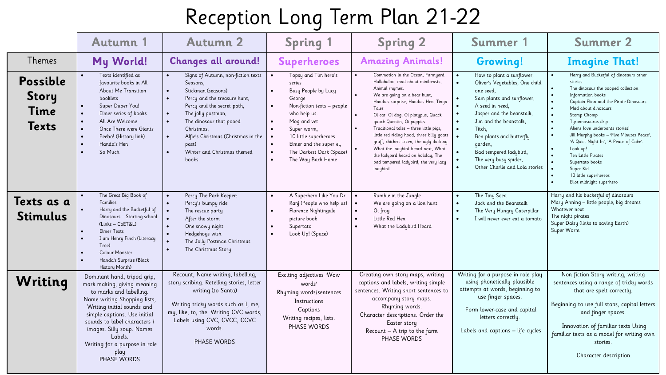|                                                  | <b>Autumn 1</b>                                                                                                                                                                                                                                                                                                     | <b>Autumn 2</b>                                                                                                                                                                                                                                                                                                                               | <b>Spring 1</b>                                                                                                                                                                                                                                                                                                                | <b>Spring 2</b>                                                                                                                                                                                                                                                                                                                                                                                                                                                                                                                                       | Summer 1                                                                                                                                                                                                                                                                                                                           | <b>Summer 2</b>                                                                                                                                                                                                                                                                                                                                                                                                                                                                                                                                                                    |
|--------------------------------------------------|---------------------------------------------------------------------------------------------------------------------------------------------------------------------------------------------------------------------------------------------------------------------------------------------------------------------|-----------------------------------------------------------------------------------------------------------------------------------------------------------------------------------------------------------------------------------------------------------------------------------------------------------------------------------------------|--------------------------------------------------------------------------------------------------------------------------------------------------------------------------------------------------------------------------------------------------------------------------------------------------------------------------------|-------------------------------------------------------------------------------------------------------------------------------------------------------------------------------------------------------------------------------------------------------------------------------------------------------------------------------------------------------------------------------------------------------------------------------------------------------------------------------------------------------------------------------------------------------|------------------------------------------------------------------------------------------------------------------------------------------------------------------------------------------------------------------------------------------------------------------------------------------------------------------------------------|------------------------------------------------------------------------------------------------------------------------------------------------------------------------------------------------------------------------------------------------------------------------------------------------------------------------------------------------------------------------------------------------------------------------------------------------------------------------------------------------------------------------------------------------------------------------------------|
| Themes                                           | My World!                                                                                                                                                                                                                                                                                                           | <b>Changes all around!</b>                                                                                                                                                                                                                                                                                                                    | <b>Superheroes</b>                                                                                                                                                                                                                                                                                                             | <b>Amazing Animals!</b>                                                                                                                                                                                                                                                                                                                                                                                                                                                                                                                               | Growing!                                                                                                                                                                                                                                                                                                                           | <b>Imagine That!</b>                                                                                                                                                                                                                                                                                                                                                                                                                                                                                                                                                               |
| Possible<br><b>Story</b><br>Time<br><b>Texts</b> | $\bullet$<br>Texts identified as<br>favourite books in All<br>About Me Transition<br>booklets<br>Super Duper You!<br>$\bullet$<br>Elmer series of books<br>$\bullet$<br>All Are Welcome<br>$\bullet$<br>$\bullet$<br>Once There were Giants<br>Peebo! (History link)<br>$\bullet$<br>Handa's Hen<br>So Much         | Signs of Autumn, non-fiction texts<br>Seasons,<br>Stickman (seasons)<br>Percy and the treasure hunt,<br>$\bullet$<br>Percy and the secret path,<br>The jolly postman,<br>$\bullet$<br>The dinosaur that pooed<br>$\bullet$<br>Christmas,<br>Alfie's Christmas (Christmas in the<br>past)<br>Winter and Christmas themed<br>$\bullet$<br>books | Topsy and Tim hero's<br>$\bullet$<br>series<br>Busy People by Lucy<br>George<br>Non-fiction texts - people<br>$\bullet$<br>who help us.<br>Mog and vet<br>Super worm,<br>10 little superheroes<br>$\bullet$<br>Elmer and the super el,<br>$\bullet$<br>The Darkest Dark (Space)<br>$\bullet$<br>The Way Back Home<br>$\bullet$ | Commotion in the Ocean, Farmyard<br>Hullabaloo, mad about minibeasts,<br>Animal rhymes.<br>We are going on a bear hunt,<br>Handa's surprise, Handa's Hen, Tinga<br>Tales<br>$\bullet$<br>Oi cat, Oi dog, Oi platypus, Quack<br>quack Quentin, Oi puppies<br>Traditional tales - three little pigs,<br>$\bullet$<br>little red riding hood, three billy goats<br>gruff, chicken licken, the ugly ducking<br>$\bullet$<br>What the ladybird heard next, What<br>the ladybird heard on holiday, The<br>bad tempered ladybird, the very lazy<br>ladybird. | How to plant a sunflower,<br>Oliver's Vegetables, One child<br>one seed,<br>Sam plants and sunflower,<br>A seed in need.<br>Jasper and the beanstalk,<br>Jim and the beanstalk.<br>Titch,<br>$\bullet$<br>Ben plants and butterfly<br>garden,<br>Bad tempered ladybird,<br>The very busy spider,<br>Other Charlie and Lola stories | Harry and Bucketful of dinosaurs other<br>stories<br>The dinosaur the pooped collection<br>$\bullet$<br>Information books<br>$\bullet$<br>Captain Flinn and the Pirate Dinosaurs<br>Mad about dinosaurs<br>$\bullet$<br>Stomp Chomp<br>Turannosaurus drip<br>$\bullet$<br>Aliens love underpants stories!<br>Jill Murphy books - 'Five Minutes Peace',<br>$\bullet$<br>'A Quiet Night In', 'A Peace of Cake'.<br>Look up!<br>$\bullet$<br>$\bullet$<br><b>Ten Little Pirates</b><br>Supertato books<br>Super Kid<br>10 little superhereos<br>Eliot midnight superhero<br>$\bullet$ |
| Texts as a<br><b>Stimulus</b>                    | The Great Big Book of<br><b>Families</b><br>Harry and the Bucketful of<br>Dinosaurs - Starting school<br>(Links - CoET&L)<br><b>Elmer Texts</b><br>I am Henry Finch (Literacy<br>Tree)<br><b>Colour Monster</b><br>Handa's Surprise (Black<br>$\bullet$<br>History Month)                                           | Percy The Park Keeper:<br>$\bullet$<br>Percy's bumpy ride<br>$\bullet$<br>$\bullet$<br>The rescue party<br>After the storm<br>One snowy night<br>Hedgehogs wish<br>The Jolly Postman Christmas<br>The Christmas Story                                                                                                                         | A Superhero Like You Dr.<br>$\bullet$<br>Ranj (People who help us)<br>Florence Nightingale<br>picture book<br>Supertato<br>Look Up! (Space)                                                                                                                                                                                    | Rumble in the Jungle<br>$\bullet$<br>$\bullet$<br>We are going on a lion hunt<br>$\bullet$<br>Oi frog<br>Little Red Hen<br>$\bullet$<br>What the Ladybird Heard                                                                                                                                                                                                                                                                                                                                                                                       | The Tiny Seed<br>$\bullet$<br>Jack and the Beanstalk<br>$\bullet$<br>The Very Hungry Caterpillar<br>$\bullet$<br>I will never ever eat a tomato                                                                                                                                                                                    | Harry and his bucketful of dinosaurs<br>Mary Anning - little people, big dreams<br>Whatever next<br>The night pirates<br>Super Daisy (links to saving Earth)<br>Super Worm                                                                                                                                                                                                                                                                                                                                                                                                         |
| Writing                                          | Dominant hand, tripod grip,<br>mark making, giving meaning<br>to marks and labelling.<br>Name writing Shopping lists,<br>Writing initial sounds and<br>simple captions. Use initial<br>sounds to label characters /<br>images. Silly soup. Names<br>Labels.<br>Writing for a purpose in role<br>play<br>PHASE WORDS | Recount, Name writing, labelling,<br>story scribing. Retelling stories, letter<br>writing (to Santa)<br>Writing tricky words such as I, me,<br>my, like, to, the. Writing CVC words,<br>Labels using CVC, CVCC, CCVC<br>words.<br>PHASE WORDS                                                                                                 | Exciting adjectives 'Wow<br>words'<br>Rhyming words/sentences<br>Instructions<br>Captions<br>Writing recipes, lists.<br>PHASE WORDS                                                                                                                                                                                            | Creating own story maps, writing<br>captions and labels, writing simple<br>sentences. Writing short sentences to<br>accompany story maps.<br>Rhyming words.<br>Character descriptions. Order the<br>Easter story<br>Recount - A trip to the farm<br>PHASE WORDS                                                                                                                                                                                                                                                                                       | Writing for a purpose in role play<br>using phonetically plausible<br>attempts at words, beginning to<br>use finger spaces.<br>Form lower-case and capital<br>letters correctly.<br>Labels and captions - life cycles                                                                                                              | Non fiction Story writing, writing<br>sentences using a range of tricky words<br>that are spelt correctly.<br>Beginning to use full stops, capital letters<br>and finger spaces.<br>Innovation of familiar texts Using<br>familiar texts as a model for writing own<br>stories.<br>Character description.                                                                                                                                                                                                                                                                          |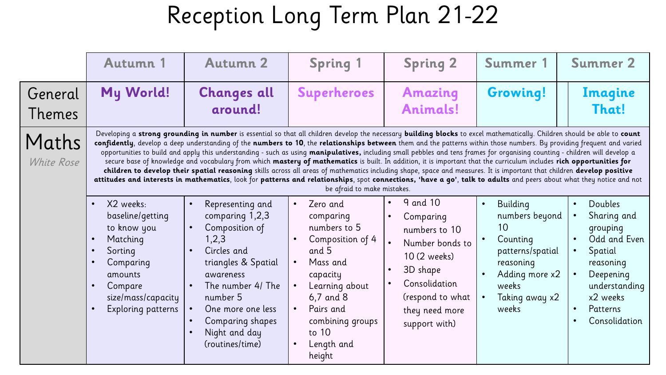|                     | <b>Autumn 1</b>                                                                                                                                                                                                                                                                                                                                                                                                                                                                                                                                                                                                                                                                                                                                                                                                                                                                                                                                                                                                                                                                             | <b>Autumn 2</b>                                                                                                                                                                                                                 | <b>Spring 1</b>                                                                                                                                                                                                                        | <b>Spring 2</b>                                                                                                                                               | Summer 1                                                                                                                                         | <b>Summer 2</b>                                                                                                                                                             |  |
|---------------------|---------------------------------------------------------------------------------------------------------------------------------------------------------------------------------------------------------------------------------------------------------------------------------------------------------------------------------------------------------------------------------------------------------------------------------------------------------------------------------------------------------------------------------------------------------------------------------------------------------------------------------------------------------------------------------------------------------------------------------------------------------------------------------------------------------------------------------------------------------------------------------------------------------------------------------------------------------------------------------------------------------------------------------------------------------------------------------------------|---------------------------------------------------------------------------------------------------------------------------------------------------------------------------------------------------------------------------------|----------------------------------------------------------------------------------------------------------------------------------------------------------------------------------------------------------------------------------------|---------------------------------------------------------------------------------------------------------------------------------------------------------------|--------------------------------------------------------------------------------------------------------------------------------------------------|-----------------------------------------------------------------------------------------------------------------------------------------------------------------------------|--|
| General<br>Themes   | My World!                                                                                                                                                                                                                                                                                                                                                                                                                                                                                                                                                                                                                                                                                                                                                                                                                                                                                                                                                                                                                                                                                   | <b>Changes all</b><br>around!                                                                                                                                                                                                   | <b>Superheroes</b>                                                                                                                                                                                                                     | <b>Amazing</b><br>Animals!                                                                                                                                    | <b>Growing!</b>                                                                                                                                  | Imagine<br>That!                                                                                                                                                            |  |
| Maths<br>White Rose | Developing a strong grounding in number is essential so that all children develop the necessary building blocks to excel mathematically. Children should be able to count<br>confidently, develop a deep understanding of the numbers to 10, the relationships between them and the patterns within those numbers. By providing frequent and varied<br>opportunities to build and apply this understanding - such as using manipulatives, including small pebbles and tens frames for organising counting - children will develop a<br>secure base of knowledge and vocabulary from which mastery of mathematics is built. In addition, it is important that the curriculum includes rich opportunities for<br>children to develop their spatial reasoning skills across all areas of mathematics including shape, space and measures. It is important that children develop positive<br>attitudes and interests in mathematics, look for patterns and relationships, spot connections, 'have a go', talk to adults and peers about what they notice and not<br>be afraid to make mistakes. |                                                                                                                                                                                                                                 |                                                                                                                                                                                                                                        |                                                                                                                                                               |                                                                                                                                                  |                                                                                                                                                                             |  |
|                     | X2 weeks:<br>$\bullet$<br>baseline/getting<br>to know you<br>Matching<br>$\bullet$<br>Sorting<br>$\bullet$<br>Comparing<br>$\bullet$<br>amounts<br>Compare<br>size/mass/capacity<br>Exploring patterns                                                                                                                                                                                                                                                                                                                                                                                                                                                                                                                                                                                                                                                                                                                                                                                                                                                                                      | Representing and<br>comparing 1,2,3<br>Composition of<br>1,2,3<br>Circles and<br>triangles & Spatial<br>awareness<br>The number 4/ The<br>number 5<br>One more one less<br>Comparing shapes<br>Night and day<br>(routines/time) | Zero and<br>$\bullet$<br>comparing<br>numbers to 5<br>Composition of 4<br>and 5<br>Mass and<br>capacity<br>Learning about<br>$6,7$ and $8$<br>Pairs and<br>$\bullet$<br>combining groups<br>to 10<br>Length and<br>$\bullet$<br>height | 9 and 10<br>Comparing<br>numbers to 10<br>Number bonds to<br>10 (2 weeks)<br>3D shape<br>Consolidation<br>(respond to what<br>they need more<br>support with) | Building<br>$\bullet$<br>numbers beyond<br>10<br>Counting<br>patterns/spatial<br>reasoning<br>Adding more x2<br>weeks<br>Taking away x2<br>weeks | Doubles<br>$\bullet$<br>Sharing and<br>grouping<br>Odd and Even<br>Spatial<br>reasoning<br>Deepening<br>understanding<br>x2 weeks<br>Patterns<br>$\bullet$<br>Consolidation |  |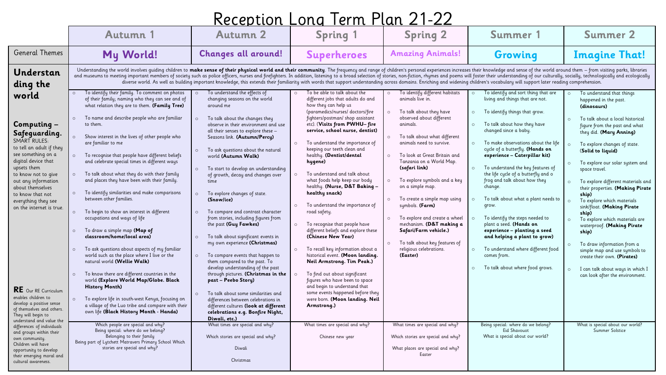| Reception Long Term Plan 21-22 |  |  |  |
|--------------------------------|--|--|--|
|                                |  |  |  |

|                                                                                                                                                                                                                                                                                                                                                                          | <b>Autumn 1</b>                                                                                                                                                                                                                                                                                                                                                                                                                                                                                                                                                                                                                                                                                                                                                                                                                                                                                                                                                                                                                                                                                                                              | <b>Autumn 2</b>                                                                                                                                                                                                                                                                                                                                                                                                                                                                                                                                                                                                                                                                                                                                                                                                                                                                                                                                                                       | <b>Spring 1</b>                                                                                                                                                                                                                                                                                                                                                                                                                                                                                                                                                                                                                                                                                                                                                                                                                                                                                                                                                          | <b>Spring 2</b>                                                                                                                                                                                                                                                                                                                                                                                                                                                                                                                                                                 | Summer 1                                                                                                                                                                                                                                                                                                                                                                                                                                                                                                                                                                                                                                                                                                                                                        | <b>Summer 2</b>                                                                                                                                                                                                                                                                                                                                                                                                                                                                                                                                                                                                                                                                             |  |  |
|--------------------------------------------------------------------------------------------------------------------------------------------------------------------------------------------------------------------------------------------------------------------------------------------------------------------------------------------------------------------------|----------------------------------------------------------------------------------------------------------------------------------------------------------------------------------------------------------------------------------------------------------------------------------------------------------------------------------------------------------------------------------------------------------------------------------------------------------------------------------------------------------------------------------------------------------------------------------------------------------------------------------------------------------------------------------------------------------------------------------------------------------------------------------------------------------------------------------------------------------------------------------------------------------------------------------------------------------------------------------------------------------------------------------------------------------------------------------------------------------------------------------------------|---------------------------------------------------------------------------------------------------------------------------------------------------------------------------------------------------------------------------------------------------------------------------------------------------------------------------------------------------------------------------------------------------------------------------------------------------------------------------------------------------------------------------------------------------------------------------------------------------------------------------------------------------------------------------------------------------------------------------------------------------------------------------------------------------------------------------------------------------------------------------------------------------------------------------------------------------------------------------------------|--------------------------------------------------------------------------------------------------------------------------------------------------------------------------------------------------------------------------------------------------------------------------------------------------------------------------------------------------------------------------------------------------------------------------------------------------------------------------------------------------------------------------------------------------------------------------------------------------------------------------------------------------------------------------------------------------------------------------------------------------------------------------------------------------------------------------------------------------------------------------------------------------------------------------------------------------------------------------|---------------------------------------------------------------------------------------------------------------------------------------------------------------------------------------------------------------------------------------------------------------------------------------------------------------------------------------------------------------------------------------------------------------------------------------------------------------------------------------------------------------------------------------------------------------------------------|-----------------------------------------------------------------------------------------------------------------------------------------------------------------------------------------------------------------------------------------------------------------------------------------------------------------------------------------------------------------------------------------------------------------------------------------------------------------------------------------------------------------------------------------------------------------------------------------------------------------------------------------------------------------------------------------------------------------------------------------------------------------|---------------------------------------------------------------------------------------------------------------------------------------------------------------------------------------------------------------------------------------------------------------------------------------------------------------------------------------------------------------------------------------------------------------------------------------------------------------------------------------------------------------------------------------------------------------------------------------------------------------------------------------------------------------------------------------------|--|--|
| <b>General Themes</b>                                                                                                                                                                                                                                                                                                                                                    | My World!                                                                                                                                                                                                                                                                                                                                                                                                                                                                                                                                                                                                                                                                                                                                                                                                                                                                                                                                                                                                                                                                                                                                    | <b>Changes all around!</b>                                                                                                                                                                                                                                                                                                                                                                                                                                                                                                                                                                                                                                                                                                                                                                                                                                                                                                                                                            | <b>Superheroes</b>                                                                                                                                                                                                                                                                                                                                                                                                                                                                                                                                                                                                                                                                                                                                                                                                                                                                                                                                                       | <b>Amazing Animals!</b>                                                                                                                                                                                                                                                                                                                                                                                                                                                                                                                                                         | Growing                                                                                                                                                                                                                                                                                                                                                                                                                                                                                                                                                                                                                                                                                                                                                         | <b>Imagine That!</b>                                                                                                                                                                                                                                                                                                                                                                                                                                                                                                                                                                                                                                                                        |  |  |
| Understan<br>ding the                                                                                                                                                                                                                                                                                                                                                    | Understanding the world involves guiding children to make sense of their physical world and their community. The frequency and range of children's personal experiences increases their knowledge and sense of the world aroun<br>and museums to meeting important members of society such as police officers, nurses and firefighters. In addition, listening to a broad selection of stories, non-fiction, rhymes and poems will foster their understanding of<br>diverse world. As well as building important knowledge, this extends their familiarity with words that support understanding across domains. Enriching and widening children's vocabulary will support later reading comprehen                                                                                                                                                                                                                                                                                                                                                                                                                                           |                                                                                                                                                                                                                                                                                                                                                                                                                                                                                                                                                                                                                                                                                                                                                                                                                                                                                                                                                                                       |                                                                                                                                                                                                                                                                                                                                                                                                                                                                                                                                                                                                                                                                                                                                                                                                                                                                                                                                                                          |                                                                                                                                                                                                                                                                                                                                                                                                                                                                                                                                                                                 |                                                                                                                                                                                                                                                                                                                                                                                                                                                                                                                                                                                                                                                                                                                                                                 |                                                                                                                                                                                                                                                                                                                                                                                                                                                                                                                                                                                                                                                                                             |  |  |
| world<br>Computing -<br>Safeguarding.<br><b>SMART RULES:</b><br>to tell an adult if they<br>see something on a<br>digital device that<br>upsets them<br>to know not to give<br>out any information<br>about themselves<br>to know that not<br>everything they see<br>on the internet is true.<br>RE Our RE Curriculum<br>enables children to<br>develop a positive sense | To identify their family. To comment on photos<br>of their family; naming who they can see and of<br>what relation they are to them. (Family Tree)<br>To name and describe people who are familiar<br>to them<br>Show interest in the lives of other people who<br>are familiar to me<br>To recognise that people have different beliefs<br>$\circ$<br>and celebrate special times in different ways<br>To talk about what they do with their family<br>$\circ$<br>and places they have been with their family.<br>To identify similarities and make comparisons<br>between other families.<br>To begin to show an interest in different<br>$\circ$<br>occupations and ways of life<br>To draw a simple map (Map of<br>$\circ$<br>classroom/home/local area)<br>To ask questions about aspects of my familiar<br>$\circ$<br>world such as the place where I live or the<br>natural world (Wellie Walk)<br>To know there are different countries in the<br>$\circ$<br>world (Explore World Map/Globe. Black<br><b>History Month)</b><br>To explore life in south-west Kenya, focusing on<br>a village of the Luo tribe and compare with their | To understand the effects of<br>changing seasons on the world<br>around me<br>$\circ$<br>To talk about the changes they<br>observe in their environment and use<br>all their senses to explore these -<br>Seasons link. (Autumn/Percy)<br>To ask questions about the natural<br>$\circ$<br>world (Autumn Walk)<br>To start to develop an understanding<br>$\circ$<br>of growth, decay and changes over<br>time<br>To explore changes of state.<br>$\circ$<br>(Snow/ice)<br>To compare and contrast character<br>$\circ$<br>from stories, including figures from<br>the past (Guy Fawkes)<br>To talk about significant events in<br>$\circ$<br>my own experience (Christmas)<br>To compare events that happen to<br>them compared to the past. To<br>develop understanding of the past<br>through pictures. (Christmas in the<br>past - Peebo Story)<br>To talk about some similarities and<br>$\circ$<br>differences between celebrations in<br>different cultures (look at different | To be able to talk about the<br>different jobs that adults do and<br>how they can help us<br>(paramedics/nurses/ doctors/fire<br>fighters/postman/ shop assistant<br>etc). (Visits from PWHU-fire<br>service, school nurse, dentist)<br>To understand the importance of<br>$\circ$<br>keeping our teeth clean and<br>healthy. (Dentist/dental<br>hygene)<br>To understand and talk about<br>$\circ$<br>what foods help keep our body<br>healthy. (Nurse, D&T Baking -<br>healthy snack)<br>To understand the importance of<br>$\circ$<br>road safety.<br>To recognise that people have<br>different beliefs and explore these<br>(Chinese New Year)<br>To recall key information about a<br>$\circ$<br>historical event. (Moon landing.<br>Neil Armstrong. Tim Peak.)<br>To find out about significant<br>$\circ$<br>figures who have been to space<br>and begin to understand that<br>some events happened before they<br>were born. (Moon landing. Neil<br>Armstrong.) | To identify different habitats<br>animals live in.<br>To talk about they have<br>$\circ$<br>observed about different<br>animals.<br>To talk about what different<br>$\circ$<br>animals need to survive.<br>To look at Great Britain and<br>Tanzania on a World Map.<br>(safari link)<br>To explore symbols and a key<br>$\circ$<br>on a simple map.<br>To create a simple map using<br>$\circ$<br>symbols. (Farm)<br>To explore and create a wheel<br>mechanism. (D&T making a<br>Safari/Farm vehicle.)<br>To talk about key features of<br>religious celebrations.<br>(Easter) | To identify and sort thing that are<br>$\circ$<br>living and things that are not.<br>$\circ$<br>To identify things that grow.<br>To talk about how they have<br>$\circ$<br>changed since a baby.<br>To make observations about the life<br>$\circ$<br>cycle of a butterfly. (Hands on<br>experience - Caterpillar kit)<br>To understand the key features of<br>$\circ$<br>the life cycle of a butterfly and o<br>frog and talk about how they<br>change.<br>To talk about what a plant needs to<br>$\circ$<br>grow.<br>To identify the steps needed to<br>plant a seed. (Hands on<br>experience - planting a seed<br>and helping a plant to grow)<br>To understand where different food<br>$\circ$<br>comes from.<br>To talk about where food grows.<br>$\circ$ | To understand that things<br>$\circ$<br>happened in the past.<br>(dinosaurs)<br>To talk about a local historical<br>figure from the past and what<br>they did. (Mary Anning)<br>To explore changes of state.<br>(Solid to liquid)<br>To explore our solar system and<br>space travel.<br>To explore different materials and<br>their properties. (Making Pirate<br>ship)<br>To explore which materials<br>sink/float. (Making Pirate<br>ship)<br>To explore which materials are<br>waterproof. (Making Pirate<br>ship)<br>To draw information from a<br>simple map and use symbols to<br>create their own. (Pirates)<br>I can talk about ways in which I<br>can look after the environment. |  |  |
| of themselves and others.<br>They will begin to<br>understand and value the<br>differences of individuals<br>and groups within their<br>own community.<br>Children will have<br>opportunity to develop<br>their emerging moral and<br>cultural awareness.                                                                                                                | own life (Black History Month - Handa)<br>Which people are special and why?<br>Being special: where do we belong?<br>Belonging to their family<br>Being part of Lytchett Matravers Primary School Which<br>stories are special and why?                                                                                                                                                                                                                                                                                                                                                                                                                                                                                                                                                                                                                                                                                                                                                                                                                                                                                                      | celebrations e.g. Bonfire Night,<br>Diwali, etc.)<br>What times are special and why?<br>Which stories are special and why?<br>Diwali<br>Christmas                                                                                                                                                                                                                                                                                                                                                                                                                                                                                                                                                                                                                                                                                                                                                                                                                                     | What times are special and why?<br>Chinese new year                                                                                                                                                                                                                                                                                                                                                                                                                                                                                                                                                                                                                                                                                                                                                                                                                                                                                                                      | What times are special and why?<br>Which stories are special and why?<br>What places are special and why?<br>Easter                                                                                                                                                                                                                                                                                                                                                                                                                                                             | Being special: where do we belong?<br>Eid Shavouot<br>What is special about our world?                                                                                                                                                                                                                                                                                                                                                                                                                                                                                                                                                                                                                                                                          | What is special about our world?<br>Summer Solstice                                                                                                                                                                                                                                                                                                                                                                                                                                                                                                                                                                                                                                         |  |  |
|                                                                                                                                                                                                                                                                                                                                                                          |                                                                                                                                                                                                                                                                                                                                                                                                                                                                                                                                                                                                                                                                                                                                                                                                                                                                                                                                                                                                                                                                                                                                              |                                                                                                                                                                                                                                                                                                                                                                                                                                                                                                                                                                                                                                                                                                                                                                                                                                                                                                                                                                                       |                                                                                                                                                                                                                                                                                                                                                                                                                                                                                                                                                                                                                                                                                                                                                                                                                                                                                                                                                                          |                                                                                                                                                                                                                                                                                                                                                                                                                                                                                                                                                                                 |                                                                                                                                                                                                                                                                                                                                                                                                                                                                                                                                                                                                                                                                                                                                                                 |                                                                                                                                                                                                                                                                                                                                                                                                                                                                                                                                                                                                                                                                                             |  |  |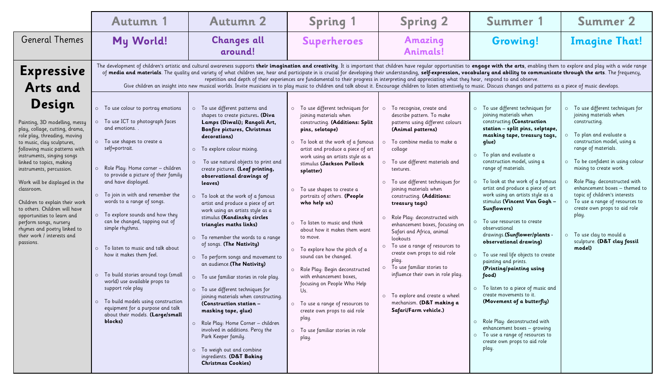|                                                                                                                                                                                                                                                                                                                                                                                                                                                                                                                    | <b>Autumn 1</b>                                                                                                                                                                                                                                                                                                                                                                                                                                                                                                                                                                                                                                                                                                                                                                                                                                            | <b>Autumn 2</b>                                                                                                                                                                                                                                                                                                                                                                                                                                                                                                                                                                                                                                                                                                                                                                                                                                                                                                                                                                        | <b>Spring 1</b>                                                                                                                                                                                                                                                                                                                                                                                                                                                                                                                                                                                                                                                                                                                          | <b>Spring 2</b>                                                                                                                                                                                                                                                                                                                                                                                                                                                                                                                                                                                                                                                                                                               | Summer 1                                                                                                                                                                                                                                                                                                                                                                                                                                                                                                                                                                                                                                                                                                                                                                                                                                                                                   | <b>Summer 2</b>                                                                                                                                                                                                                                                                                                                                                                                                                                                                                     |  |
|--------------------------------------------------------------------------------------------------------------------------------------------------------------------------------------------------------------------------------------------------------------------------------------------------------------------------------------------------------------------------------------------------------------------------------------------------------------------------------------------------------------------|------------------------------------------------------------------------------------------------------------------------------------------------------------------------------------------------------------------------------------------------------------------------------------------------------------------------------------------------------------------------------------------------------------------------------------------------------------------------------------------------------------------------------------------------------------------------------------------------------------------------------------------------------------------------------------------------------------------------------------------------------------------------------------------------------------------------------------------------------------|----------------------------------------------------------------------------------------------------------------------------------------------------------------------------------------------------------------------------------------------------------------------------------------------------------------------------------------------------------------------------------------------------------------------------------------------------------------------------------------------------------------------------------------------------------------------------------------------------------------------------------------------------------------------------------------------------------------------------------------------------------------------------------------------------------------------------------------------------------------------------------------------------------------------------------------------------------------------------------------|------------------------------------------------------------------------------------------------------------------------------------------------------------------------------------------------------------------------------------------------------------------------------------------------------------------------------------------------------------------------------------------------------------------------------------------------------------------------------------------------------------------------------------------------------------------------------------------------------------------------------------------------------------------------------------------------------------------------------------------|-------------------------------------------------------------------------------------------------------------------------------------------------------------------------------------------------------------------------------------------------------------------------------------------------------------------------------------------------------------------------------------------------------------------------------------------------------------------------------------------------------------------------------------------------------------------------------------------------------------------------------------------------------------------------------------------------------------------------------|--------------------------------------------------------------------------------------------------------------------------------------------------------------------------------------------------------------------------------------------------------------------------------------------------------------------------------------------------------------------------------------------------------------------------------------------------------------------------------------------------------------------------------------------------------------------------------------------------------------------------------------------------------------------------------------------------------------------------------------------------------------------------------------------------------------------------------------------------------------------------------------------|-----------------------------------------------------------------------------------------------------------------------------------------------------------------------------------------------------------------------------------------------------------------------------------------------------------------------------------------------------------------------------------------------------------------------------------------------------------------------------------------------------|--|
| <b>General Themes</b>                                                                                                                                                                                                                                                                                                                                                                                                                                                                                              | My World!                                                                                                                                                                                                                                                                                                                                                                                                                                                                                                                                                                                                                                                                                                                                                                                                                                                  | <b>Changes all</b><br>around!                                                                                                                                                                                                                                                                                                                                                                                                                                                                                                                                                                                                                                                                                                                                                                                                                                                                                                                                                          | <b>Superheroes</b>                                                                                                                                                                                                                                                                                                                                                                                                                                                                                                                                                                                                                                                                                                                       | <b>Amazing</b><br><b>Animals!</b>                                                                                                                                                                                                                                                                                                                                                                                                                                                                                                                                                                                                                                                                                             | Growing!                                                                                                                                                                                                                                                                                                                                                                                                                                                                                                                                                                                                                                                                                                                                                                                                                                                                                   | <b>Imagine That!</b>                                                                                                                                                                                                                                                                                                                                                                                                                                                                                |  |
| <b>Expressive</b><br><b>Arts and</b>                                                                                                                                                                                                                                                                                                                                                                                                                                                                               | The development of children's artistic and cultural awareness supports their imagination and creativity. It is important that children have regular opportunities to engage with the arts, enabling them to explore and play w<br>of media and materials. The quality and variety of what children see, hear and participate in is crucial for developing their understanding, self-expression, vocabulary and ability to communicate through the arts. The freq<br>repetition and depth of their experiences are fundamental to their progress in interpreting and appreciating what they hear, respond to and observe.<br>Give children an insight into new musical worlds. Invite musicians in to play music to children and talk about it. Encourage children to listen attentively to music. Discuss changes and patterns as a piece of music develop |                                                                                                                                                                                                                                                                                                                                                                                                                                                                                                                                                                                                                                                                                                                                                                                                                                                                                                                                                                                        |                                                                                                                                                                                                                                                                                                                                                                                                                                                                                                                                                                                                                                                                                                                                          |                                                                                                                                                                                                                                                                                                                                                                                                                                                                                                                                                                                                                                                                                                                               |                                                                                                                                                                                                                                                                                                                                                                                                                                                                                                                                                                                                                                                                                                                                                                                                                                                                                            |                                                                                                                                                                                                                                                                                                                                                                                                                                                                                                     |  |
| Design<br>Painting, 3D modelling, messy<br>play, collage, cutting, drama,<br>role play, threading, moving<br>to music, clay sculptures,<br>following music patterns with<br>instruments, singing songs<br>linked to topics, making<br>instruments, percussion.<br>Work will be displayed in the<br>classroom.<br>Children to explain their work<br>to others. Children will have<br>opportunities to learn and<br>perform songs, nursery<br>rhymes and poetry linked to<br>their work / interests and<br>passions. | o To use colour to portray emotions<br>$\circ$ To use ICT to photograph faces<br>and emotions<br>o To use shapes to create a<br>self=portrait.<br>O Role Play: Home corner - children<br>to provide a picture of their family<br>and have displayed.<br>o To join in with and remember the<br>words to a range of songs.<br>o To explore sounds and how they<br>can be changed, tapping out of<br>simple rhythms.<br>o To listen to music and talk about<br>how it makes them feel.<br>o To build stories around toys (small<br>world) use available props to<br>support role play<br>o To build models using construction<br>equipment for a purpose and talk<br>about their models. (Large/small<br>blocks)                                                                                                                                              | o To use different patterns and<br>shapes to create pictures. (Diva<br>Lamps (Diwali); Rangoli Art,<br>Bonfire pictures, Christmas<br>decorations)<br>o To explore colour mixing.<br>To use natural objects to print and<br>create pictures. (Leaf printing,<br>observational drawings of<br>leaves)<br>o To look at the work of a famous<br>artist and produce a piece of art<br>work using an artists style as a<br>stimulus (Kandinsky circles<br>triangles maths links)<br>o To remember the words to a range<br>of songs. (The Nativity)<br>o To perform songs and movement to<br>an audience. (The Nativity)<br>o To use familiar stories in role play.<br>o To use different techniques for<br>joining materials when constructing.<br>(Construction station -<br>masking tape, glue)<br>o Role Play: Home Corner - children<br>involved in additions. Percy the<br>Park Keeper family.<br>o To weigh out and combine<br>ingredients. (D&T Baking<br><b>Christmas Cookies</b> ) | o To use different techniques for<br>joining materials when<br>constructing. (Additions: Split<br>pins, selotape)<br>o To look at the work of a famous<br>artist and produce a piece of art<br>work using an artists style as a<br>stimulus (Jackson Pollock<br>splatter)<br>o To use shapes to create a<br>portraits of others. (People<br>who help us)<br>o To listen to music and think<br>about how it makes them want<br>to move.<br>$\circ$ To explore how the pitch of a<br>sound can be changed.<br>o Role Play: Begin deconstructed<br>with enhancement boxes,<br>focusing on People Who Help<br>Us.<br>o To use a range of resources to<br>create own props to aid role<br>play.<br>o To use familiar stories in role<br>play. | To recognise, create and<br>$\circ$<br>describe pattern. To make<br>patterns using different colours<br>(Animal patterns)<br>To combine media to make a<br>collage<br>o To use different materials and<br>textures.<br>o To use different techniques for<br>joining materials when<br>constructing. (Additions:<br>treasury tags)<br>Role Play: deconstructed with<br>$\circ$<br>enhancement boxes, focusing on<br>Safari and Africa, animal<br>lookouts<br>To use a range of resources to<br>$\circ$<br>create own props to aid role<br>play.<br>To use familiar stories to<br>$\circ$<br>influence their own in role play.<br>To explore and create a wheel<br>$\circ$<br>mechanism. (D&T making a<br>Safari/Farm vehicle.) | o To use different techniques for<br>joining materials when<br>constructing. (Construction<br>station - split pins, selptape,<br>masking tape, treasury tags,<br>glue)<br>o To plan and evaluate a<br>construction model, using a<br>range of materials.<br>$\circ$ To look at the work of a famous<br>artist and produce a piece of art<br>work using an artists style as a<br>stimulus (Vincent Van Gogh -<br>Sunflowers)<br>o To use resources to create<br>observational<br>drawings. (Sunflower/plants -<br>observational drawing)<br>o To use real life objects to create<br>painting and prints.<br>(Printing/painting using<br>food)<br>o To listen to a piece of music and<br>create movements to it.<br>(Movement of a butterfly)<br>O Role Play: deconstructed with<br>enhancement boxes - growing<br>o To use a range of resources to<br>create own props to aid role<br>play. | o To use different techniques for<br>joining materials when<br>constructing.<br>To plan and evaluate a<br>$\circ$<br>construction model, using a<br>range of materials.<br>o To be confident in using colour<br>mixing to create work.<br>O Role Play: deconstructed with<br>enhancement boxes - themed to<br>topic of children's interests<br>o To use a range of resources to<br>create own props to aid role<br>play.<br>$\circ$ To use clay to mould a<br>sculpture. (D&T clay fossil<br>model) |  |